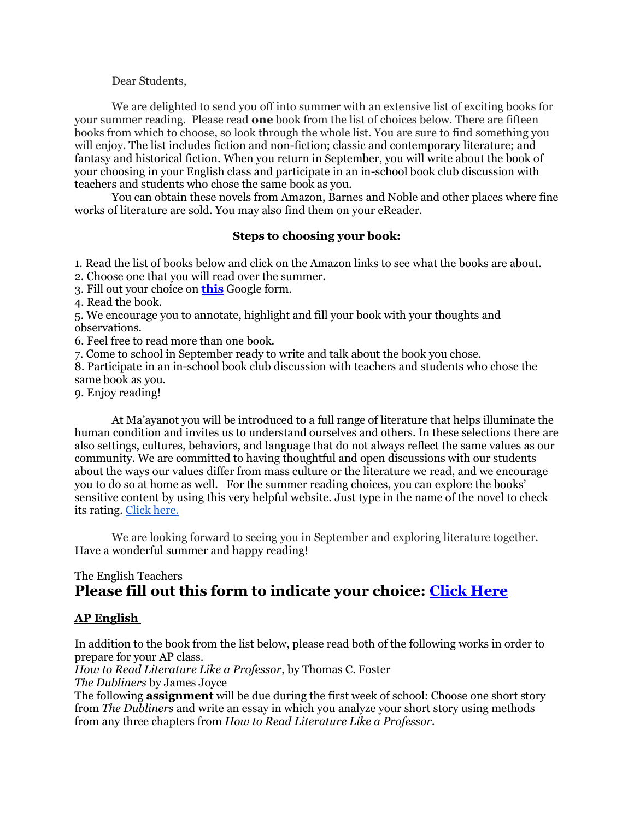Dear Students,

We are delighted to send you off into summer with an extensive list of exciting books for your summer reading. Please read **one** book from the list of choices below. There are fifteen books from which to choose, so look through the whole list. You are sure to find something you will enjoy. The list includes fiction and non-fiction; classic and contemporary literature; and fantasy and historical fiction. When you return in September, you will write about the book of your choosing in your English class and participate in an in-school book club discussion with teachers and students who chose the same book as you.

You can obtain these novels from Amazon, Barnes and Noble and other places where fine works of literature are sold. You may also find them on your eReader.

## **Steps to choosing your book:**

1. Read the list of books below and click on the Amazon links to see what the books are about.

2. Choose one that you will read over the summer.

3. Fill out your choice on **[this](https://docs.google.com/forms/d/e/1FAIpQLSdOBrH0V4MQw8ilR00L5oEEQsBoB6ELhkmTl6rWyLANDxoLAA/viewform?usp=sf_link)** Google form.

4. Read the book.

5. We encourage you to annotate, highlight and fill your book with your thoughts and observations.

6. Feel free to read more than one book.

7. Come to school in September ready to write and talk about the book you chose.

8. Participate in an in-school book club discussion with teachers and students who chose the same book as you.

9. Enjoy reading!

At Ma'ayanot you will be introduced to a full range of literature that helps illuminate the human condition and invites us to understand ourselves and others. In these selections there are also settings, cultures, behaviors, and language that do not always reflect the same values as our community. We are committed to having thoughtful and open discussions with our students about the ways our values differ from mass culture or the literature we read, and we encourage you to do so at home as well. For the summer reading choices, you can explore the books' sensitive content by using this very helpful website. Just type in the name of the novel to check its rating. [Click here.](https://www.commonsensemedia.org/)

We are looking forward to seeing you in September and exploring literature together. Have a wonderful summer and happy reading!

## The English Teachers **Please fill out this form to indicate your choice: [Click Here](https://docs.google.com/forms/d/e/1FAIpQLSdOBrH0V4MQw8ilR00L5oEEQsBoB6ELhkmTl6rWyLANDxoLAA/viewform?usp=sf_link)**

## **AP English**

In addition to the book from the list below, please read both of the following works in order to prepare for your AP class.

*How to Read Literature Like a Professor*, by Thomas C. Foster *The Dubliners* by James Joyce

The following **assignment** will be due during the first week of school: Choose one short story from *The Dubliners* and write an essay in which you analyze your short story using methods from any three chapters from *How to Read Literature Like a Professor.*